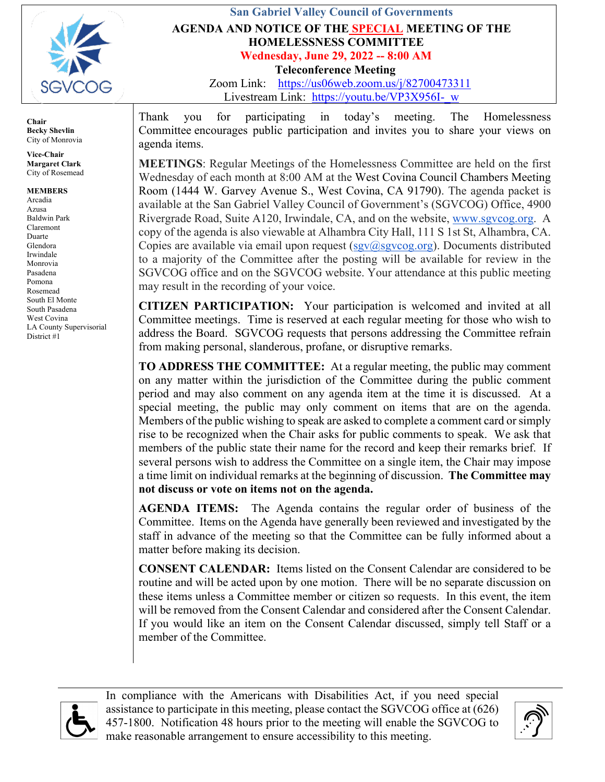

## **San Gabriel Valley Council of Governments AGENDA AND NOTICE OF THE SPECIAL MEETING OF THE HOMELESSNESS COMMITTEE Wednesday, June 29, 2022 -- 8:00 AM Teleconference Meeting**

Zoom Link: <https://us06web.zoom.us/j/82700473311> Livestream Link: https://youtu.be/VP3X956I- w

**Chair Becky Shevlin** City of Monrovia

**Vice-Chair Margaret Clark** City of Rosemead

**MEMBERS** Arcadia Azusa Baldwin Park Claremont Duarte Glendora Irwindale Monrovia Pasadena Pomona Rosemead South El Monte South Pasadena West Covina LA County Supervisorial District #1

Thank you for participating in today's meeting. The Homelessness Committee encourages public participation and invites you to share your views on agenda items.

**MEETINGS**: Regular Meetings of the Homelessness Committee are held on the first Wednesday of each month at 8:00 AM at the West Covina Council Chambers Meeting Room (1444 W. Garvey Avenue S., West Covina, CA 91790). The agenda packet is available at the San Gabriel Valley Council of Government's (SGVCOG) Office, 4900 Rivergrade Road, Suite A120, Irwindale, CA, and on the website, [www.sgvcog.org.](http://www.sgvcog.org/) A copy of the agenda is also viewable at Alhambra City Hall, 111 S 1st St, Alhambra, CA. Copies are available via email upon request ( $sgv(a)$ sgvcog.org). Documents distributed to a majority of the Committee after the posting will be available for review in the SGVCOG office and on the SGVCOG website. Your attendance at this public meeting may result in the recording of your voice.

**CITIZEN PARTICIPATION:** Your participation is welcomed and invited at all Committee meetings. Time is reserved at each regular meeting for those who wish to address the Board. SGVCOG requests that persons addressing the Committee refrain from making personal, slanderous, profane, or disruptive remarks.

**TO ADDRESS THE COMMITTEE:** At a regular meeting, the public may comment on any matter within the jurisdiction of the Committee during the public comment period and may also comment on any agenda item at the time it is discussed. At a special meeting, the public may only comment on items that are on the agenda. Members of the public wishing to speak are asked to complete a comment card or simply rise to be recognized when the Chair asks for public comments to speak. We ask that members of the public state their name for the record and keep their remarks brief. If several persons wish to address the Committee on a single item, the Chair may impose a time limit on individual remarks at the beginning of discussion. **The Committee may not discuss or vote on items not on the agenda.** 

**AGENDA ITEMS:** The Agenda contains the regular order of business of the Committee. Items on the Agenda have generally been reviewed and investigated by the staff in advance of the meeting so that the Committee can be fully informed about a matter before making its decision.

**CONSENT CALENDAR:** Items listed on the Consent Calendar are considered to be routine and will be acted upon by one motion. There will be no separate discussion on these items unless a Committee member or citizen so requests. In this event, the item will be removed from the Consent Calendar and considered after the Consent Calendar. If you would like an item on the Consent Calendar discussed, simply tell Staff or a member of the Committee.



In compliance with the Americans with Disabilities Act, if you need special assistance to participate in this meeting, please contact the SGVCOG office at (626) 457-1800. Notification 48 hours prior to the meeting will enable the SGVCOG to make reasonable arrangement to ensure accessibility to this meeting.

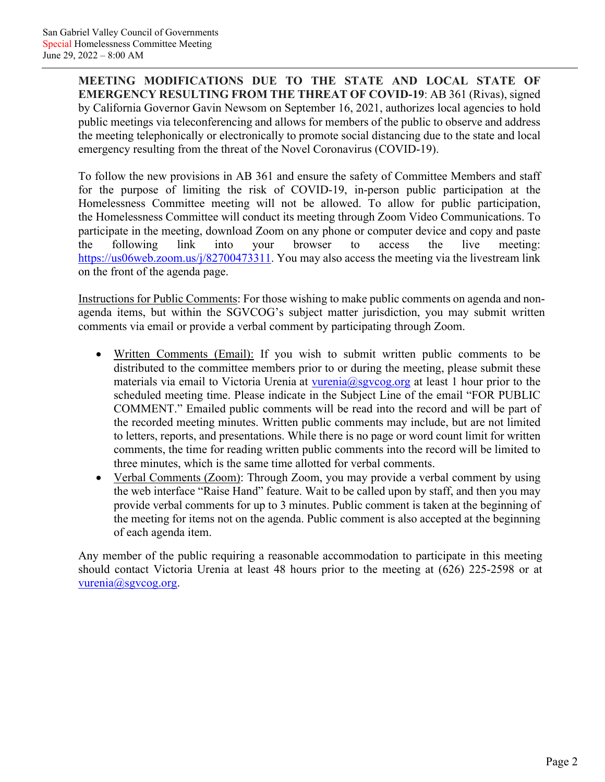**MEETING MODIFICATIONS DUE TO THE STATE AND LOCAL STATE OF EMERGENCY RESULTING FROM THE THREAT OF COVID-19**: AB 361 (Rivas), signed by California Governor Gavin Newsom on September 16, 2021, authorizes local agencies to hold public meetings via teleconferencing and allows for members of the public to observe and address the meeting telephonically or electronically to promote social distancing due to the state and local emergency resulting from the threat of the Novel Coronavirus (COVID-19).

To follow the new provisions in AB 361 and ensure the safety of Committee Members and staff for the purpose of limiting the risk of COVID-19, in-person public participation at the Homelessness Committee meeting will not be allowed. To allow for public participation, the Homelessness Committee will conduct its meeting through Zoom Video Communications. To participate in the meeting, download Zoom on any phone or computer device and copy and paste the following link into your browser to access the live meeting: [https://us06web.zoom.us/j/82700473311.](https://us06web.zoom.us/j/82700473311) You may also access the meeting via the livestream link on the front of the agenda page.

Instructions for Public Comments: For those wishing to make public comments on agenda and nonagenda items, but within the SGVCOG's subject matter jurisdiction, you may submit written comments via email or provide a verbal comment by participating through Zoom.

- Written Comments (Email): If you wish to submit written public comments to be distributed to the committee members prior to or during the meeting, please submit these materials via email to Victoria Urenia at [vurenia@sgvcog.org](mailto:vurenia@sgvcog.org) at least 1 hour prior to the scheduled meeting time. Please indicate in the Subject Line of the email "FOR PUBLIC COMMENT." Emailed public comments will be read into the record and will be part of the recorded meeting minutes. Written public comments may include, but are not limited to letters, reports, and presentations. While there is no page or word count limit for written comments, the time for reading written public comments into the record will be limited to three minutes, which is the same time allotted for verbal comments.
- Verbal Comments (Zoom): Through Zoom, you may provide a verbal comment by using the web interface "Raise Hand" feature. Wait to be called upon by staff, and then you may provide verbal comments for up to 3 minutes. Public comment is taken at the beginning of the meeting for items not on the agenda. Public comment is also accepted at the beginning of each agenda item.

Any member of the public requiring a reasonable accommodation to participate in this meeting should contact Victoria Urenia at least 48 hours prior to the meeting at (626) 225-2598 or at [vurenia@sgvcog.org.](mailto:vurenia@sgvcog.org)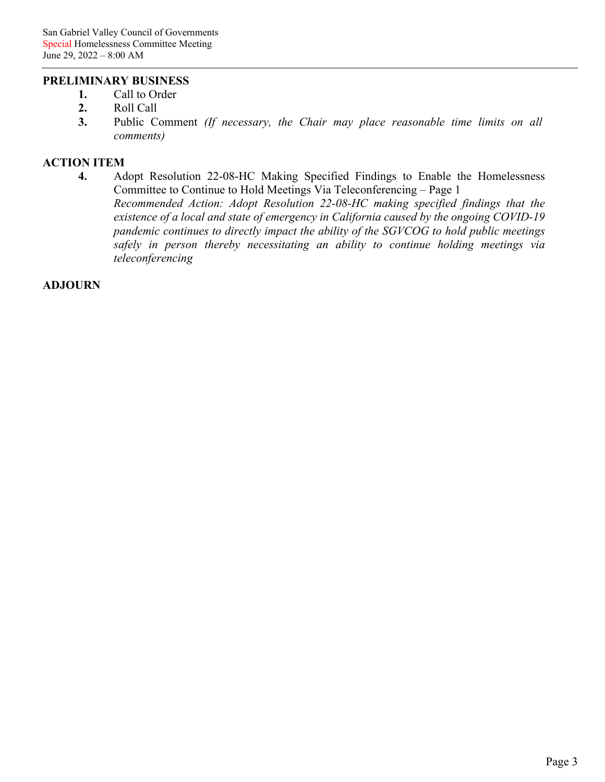## **PRELIMINARY BUSINESS**

- **1.** Call to Order
- **2.** Roll Call
- **3.** Public Comment *(If necessary, the Chair may place reasonable time limits on all comments)*

### **ACTION ITEM**

**4.** Adopt Resolution 22-08-HC Making Specified Findings to Enable the Homelessness [Committee to Continue to Hold Meetings Via Teleconferencing –](#page-3-0) Page 1 *Recommended Action: Adopt Resolution 22-08-HC making specified findings that the existence of a local and state of emergency in California caused by the ongoing COVID-19 pandemic continues to directly impact the ability of the SGVCOG to hold public meetings safely in person thereby necessitating an ability to continue holding meetings via teleconferencing*

#### **ADJOURN**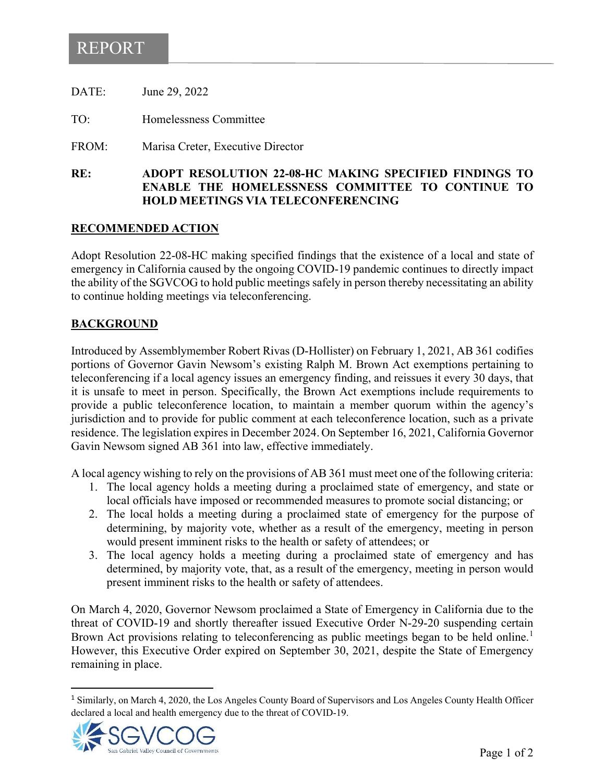# <span id="page-3-0"></span>REPORT

| RE:   | <b>ADOPT RESOLUTION 22-08-H</b><br><b>ENARLE THE HOMELESSNE</b> |
|-------|-----------------------------------------------------------------|
| FROM: | Marisa Creter, Executive Director                               |
| TO:   | Homelessness Committee                                          |
| DATE: | June 29, 2022                                                   |

### $R$ **C MAKING SPECIFIED FINDINGS TO ENABLE THE HOMELESSNESS COMMITTEE TO CONTINUE TO HOLD MEETINGS VIA TELECONFERENCING**

### **RECOMMENDED ACTION**

Adopt Resolution 22-08-HC making specified findings that the existence of a local and state of emergency in California caused by the ongoing COVID-19 pandemic continues to directly impact the ability of the SGVCOG to hold public meetings safely in person thereby necessitating an ability to continue holding meetings via teleconferencing.

### **BACKGROUND**

Introduced by Assemblymember Robert Rivas (D-Hollister) on February 1, 2021, AB 361 codifies portions of Governor Gavin Newsom's existing Ralph M. Brown Act exemptions pertaining to teleconferencing if a local agency issues an emergency finding, and reissues it every 30 days, that it is unsafe to meet in person. Specifically, the Brown Act exemptions include requirements to provide a public teleconference location, to maintain a member quorum within the agency's jurisdiction and to provide for public comment at each teleconference location, such as a private residence. The legislation expires in December 2024. On September 16, 2021, California Governor Gavin Newsom signed AB 361 into law, effective immediately.

A local agency wishing to rely on the provisions of AB 361 must meet one of the following criteria:

- 1. The local agency holds a meeting during a proclaimed state of emergency, and state or local officials have imposed or recommended measures to promote social distancing; or
- 2. The local holds a meeting during a proclaimed state of emergency for the purpose of determining, by majority vote, whether as a result of the emergency, meeting in person would present imminent risks to the health or safety of attendees; or
- 3. The local agency holds a meeting during a proclaimed state of emergency and has determined, by majority vote, that, as a result of the emergency, meeting in person would present imminent risks to the health or safety of attendees.

On March 4, 2020, Governor Newsom proclaimed a State of Emergency in California due to the threat of COVID-19 and shortly thereafter issued Executive Order N-29-20 suspending certain Brown Act provisions relating to teleconferencing as public meetings began to be held online.<sup>[1](#page-3-1)</sup> However, this Executive Order expired on September 30, 2021, despite the State of Emergency remaining in place.

<span id="page-3-1"></span><sup>&</sup>lt;sup>1</sup> Similarly, on March 4, 2020, the Los Angeles County Board of Supervisors and Los Angeles County Health Officer declared a local and health emergency due to the threat of COVID-19.